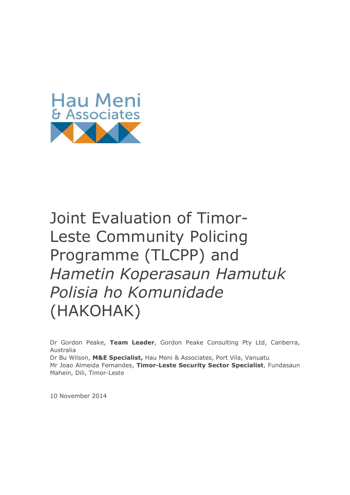

### Joint Evaluation of Timor-Leste Community Policing Programme (TLCPP) and *Hametin Koperasaun Hamutuk Polisia ho Komunidade* (HAKOHAK)

Dr Gordon Peake, **Team Leader**, Gordon Peake Consulting Pty Ltd, Canberra, Australia Dr Bu Wilson, **M&E Specialist,** Hau Meni & Associates, Port Vila, Vanuatu

Mr Joao Almeida Fernandes, **Timor-Leste Security Sector Specialist**, Fundasaun Mahein, Dili, Timor-Leste

10 November 2014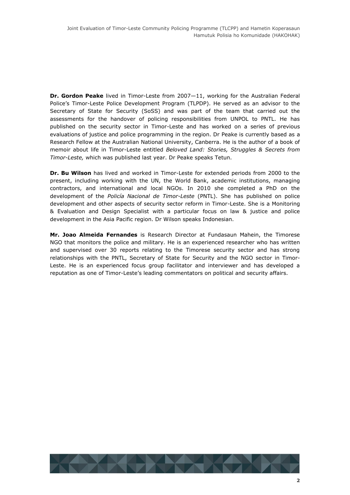**Dr. Gordon Peake** lived in Timor-Leste from 2007—11, working for the Australian Federal Police's Timor-Leste Police Development Program (TLPDP). He served as an advisor to the Secretary of State for Security (SoSS) and was part of the team that carried out the assessments for the handover of policing responsibilities from UNPOL to PNTL. He has published on the security sector in Timor-Leste and has worked on a series of previous evaluations of justice and police programming in the region. Dr Peake is currently based as a Research Fellow at the Australian National University, Canberra. He is the author of a book of memoir about life in Timor-Leste entitled *Beloved Land: Stories, Struggles & Secrets from Timor-Leste,* which was published last year. Dr Peake speaks Tetun.

**Dr. Bu Wilson** has lived and worked in Timor-Leste for extended periods from 2000 to the present, including working with the UN, the World Bank, academic institutions, managing contractors, and international and local NGOs. In 2010 she completed a PhD on the development of the *Policía Nacional de Timor-Leste* (PNTL). She has published on police development and other aspects of security sector reform in Timor-Leste. She is a Monitoring & Evaluation and Design Specialist with a particular focus on law & justice and police development in the Asia Pacific region. Dr Wilson speaks Indonesian.

**Mr. Joao Almeida Fernandes** is Research Director at Fundasaun Mahein, the Timorese NGO that monitors the police and military. He is an experienced researcher who has written and supervised over 30 reports relating to the Timorese security sector and has strong relationships with the PNTL, Secretary of State for Security and the NGO sector in Timor-Leste. He is an experienced focus group facilitator and interviewer and has developed a reputation as one of Timor-Leste's leading commentators on political and security affairs.

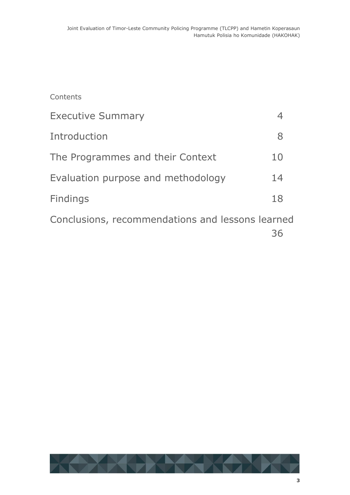| Contents                                         |    |  |
|--------------------------------------------------|----|--|
| <b>Executive Summary</b>                         |    |  |
| Introduction                                     | 8  |  |
| The Programmes and their Context                 | 10 |  |
| Evaluation purpose and methodology               | 14 |  |
| Findings                                         | 18 |  |
| Conclusions, recommendations and lessons learned |    |  |

36

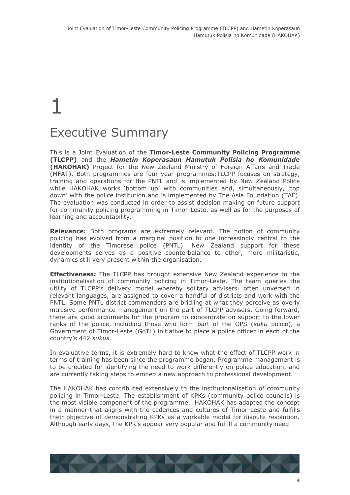# 1

### Executive Summary

This is a Joint Evaluation of the **Timor-Leste Community Policing Programme (TLCPP)** and the *Hametin Koperasaun Hamutuk Polisia ho Komunidade* **(HAKOHAK)** Project for the New Zealand Ministry of Foreign Affairs and Trade (MFAT). Both programmes are four-year programmes;TLCPP focuses on strategy, training and operations for the PNTL and is implemented by New Zealand Police while HAKOHAK works 'bottom up' with communities and, simultaneously, 'top down' with the police institution and is implemented by The Asia Foundation (TAF). The evaluation was conducted in order to assist decision making on future support for community policing programming in Timor-Leste, as well as for the purposes of learning and accountability.

**Relevance:** Both programs are extremely relevant. The notion of community policing has evolved from a marginal position to one increasingly central to the identity of the Timorese police (PNTL). New Zealand support for these developments serves as a positive counterbalance to other, more militaristic, dynamics still very present within the organisation.

**Effectiveness:** The TLCPP has brought extensive New Zealand experience to the institutionalisation of community policing in Timor-Leste. The team queries the utility of TLCPP's delivery model whereby solitary advisers, often unversed in relevant languages, are assigned to cover a handful of districts and work with the PNTL. Some PNTL district commanders are bridling at what they perceive as overly intrusive performance management on the part of TLCPP advisers. Going forward, there are good arguments for the program to concentrate on support to the lower ranks of the police, including those who form part of the OPS (*suku* police), a Government of Timor-Leste (GoTL) initiative to place a police officer in each of the country's 442 *sukus*.

In evaluative terms, it is extremely hard to know what the effect of TLCPP work in terms of training has been since the programme began. Programme management is to be credited for identifying the need to work differently on police education, and are currently taking steps to embed a new approach to professional development.

The HAKOHAK has contributed extensively to the institutionalisation of community policing in Timor-Leste. The establishment of KPKs (community police councils) is the most visible component of the programme. HAKOHAK has adapted the concept in a manner that aligns with the cadences and cultures of Timor-Leste and fulfills their objective of demonstrating KPKs as a workable model for dispute resolution. Although early days, the KPK's appear very popular and fulfill a community need.

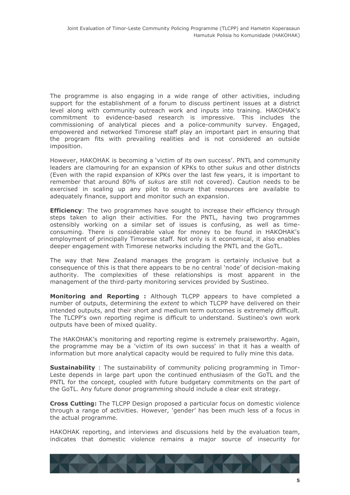The programme is also engaging in a wide range of other activities, including support for the establishment of a forum to discuss pertinent issues at a district level along with community outreach work and inputs into training. HAKOHAK's commitment to evidence-based research is impressive. This includes the commissioning of analytical pieces and a police-community survey. Engaged, empowered and networked Timorese staff play an important part in ensuring that the program fits with prevailing realities and is not considered an outside imposition.

However, HAKOHAK is becoming a 'victim of its own success'. PNTL and community leaders are clamouring for an expansion of KPKs to other *sukus* and other districts (Even with the rapid expansion of KPKs over the last few years, it is important to remember that around 80% of *sukus* are still not covered). Caution needs to be exercised in scaling up any pilot to ensure that resources are available to adequately finance, support and monitor such an expansion.

**Efficiency**: The two programmes have sought to increase their efficiency through steps taken to align their activities. For the PNTL, having two programmes ostensibly working on a similar set of issues is confusing, as well as timeconsuming. There is considerable value for money to be found in HAKOHAK's employment of principally Timorese staff. Not only is it economical, it also enables deeper engagement with Timorese networks including the PNTL and the GoTL.

The way that New Zealand manages the program is certainly inclusive but a consequence of this is that there appears to be no central 'node' of decision-making authority. The complexities of these relationships is most apparent in the management of the third-party monitoring services provided by Sustineo.

**Monitoring and Reporting :** Although TLCPP appears to have completed a number of outputs, determining the *extent* to which TLCPP have delivered on their intended outputs, and their short and medium term outcomes is extremely difficult. The TLCPP's own reporting regime is difficult to understand. Sustineo's own work outputs have been of mixed quality.

The HAKOHAK's monitoring and reporting regime is extremely praiseworthy. Again, the programme may be a 'victim of its own success' in that it has a wealth of information but more analytical capacity would be required to fully mine this data.

**Sustainability** : The sustainability of community policing programming in Timor-Leste depends in large part upon the continued enthusiasm of the GoTL and the PNTL for the concept, coupled with future budgetary commitments on the part of the GoTL. Any future donor programming should include a clear exit strategy.

**Cross Cutting:** The TLCPP Design proposed a particular focus on domestic violence through a range of activities. However, 'gender' has been much less of a focus in the actual programme.

HAKOHAK reporting, and interviews and discussions held by the evaluation team, indicates that domestic violence remains a major source of insecurity for

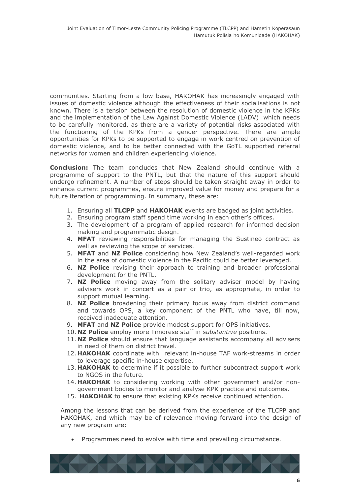communities. Starting from a low base, HAKOHAK has increasingly engaged with issues of domestic violence although the effectiveness of their socialisations is not known. There is a tension between the resolution of domestic violence in the KPKs and the implementation of the Law Against Domestic Violence (LADV) which needs to be carefully monitored, as there are a variety of potential risks associated with the functioning of the KPKs from a gender perspective. There are ample opportunities for KPKs to be supported to engage in work centred on prevention of domestic violence, and to be better connected with the GoTL supported referral networks for women and children experiencing violence.

**Conclusion:** The team concludes that New Zealand should continue with a programme of support to the PNTL, but that the nature of this support should undergo refinement. A number of steps should be taken straight away in order to enhance current programmes, ensure improved value for money and prepare for a future iteration of programming. In summary, these are:

- 1. Ensuring all **TLCPP** and **HAKOHAK** events are badged as joint activities.
- 2. Ensuring program staff spend time working in each other's offices.
- 3. The development of a program of applied research for informed decision making and programmatic design.
- 4. **MFAT** reviewing responsibilities for managing the Sustineo contract as well as reviewing the scope of services.
- 5. **MFAT** and **NZ Police** considering how New Zealand's well-regarded work in the area of domestic violence in the Pacific could be better leveraged.
- 6. **NZ Police** revising their approach to training and broader professional development for the PNTL.
- 7. **NZ Police** moving away from the solitary adviser model by having advisers work in concert as a pair or trio, as appropriate, in order to support mutual learning.
- 8. **NZ Police** broadening their primary focus away from district command and towards OPS, a key component of the PNTL who have, till now, received inadequate attention.
- 9. **MFAT** and **NZ Police** provide modest support for OPS initiatives.
- 10. **NZ Police** employ more Timorese staff in *substantive* positions.
- 11. **NZ Police** should ensure that language assistants accompany all advisers in need of them on district travel.
- 12. **HAKOHAK** coordinate with relevant in-house TAF work-streams in order to leverage specific in-house expertise.
- 13. **HAKOHAK** to determine if it possible to further subcontract support work to NGOS in the future.
- 14. **HAKOHAK** to considering working with other government and/or nongovernment bodies to monitor and analyse KPK practice and outcomes.
- 15. **HAKOHAK** to ensure that existing KPKs receive continued attention.

Among the lessons that can be derived from the experience of the TLCPP and HAKOHAK, and which may be of relevance moving forward into the design of any new program are:

• Programmes need to evolve with time and prevailing circumstance.

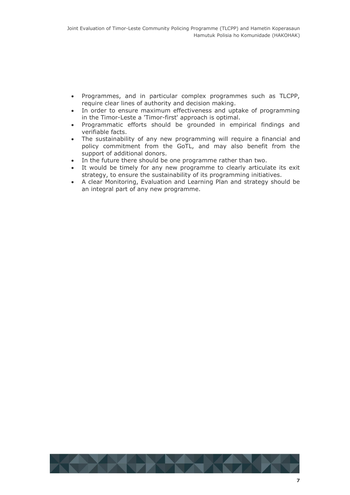- Programmes, and in particular complex programmes such as TLCPP, require clear lines of authority and decision making.
- In order to ensure maximum effectiveness and uptake of programming in the Timor-Leste a 'Timor-first' approach is optimal.
- Programmatic efforts should be grounded in empirical findings and verifiable facts.
- The sustainability of any new programming will require a financial and policy commitment from the GoTL, and may also benefit from the support of additional donors.
- In the future there should be one programme rather than two.
- It would be timely for any new programme to clearly articulate its exit strategy, to ensure the sustainability of its programming initiatives.
- A clear Monitoring, Evaluation and Learning Plan and strategy should be an integral part of any new programme.

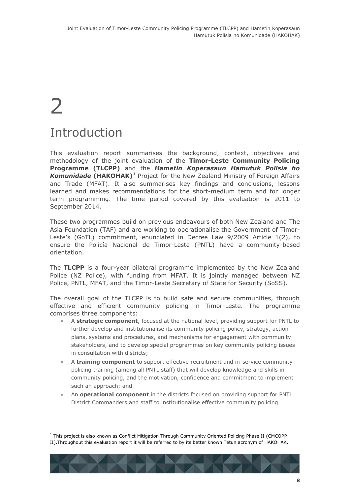# 2

-

### Introduction

This evaluation report summarises the background, context, objectives and methodology of the joint evaluation of the **Timor-Leste Community Policing Programme (TLCPP)** and the *Hametin Koperasaun Hamutuk Polisia ho Komunidade* **(HAKOHAK)<sup>1</sup>** Project for the New Zealand Ministry of Foreign Affairs and Trade (MFAT). It also summarises key findings and conclusions, lessons learned and makes recommendations for the short-medium term and for longer term programming. The time period covered by this evaluation is 2011 to September 2014.

These two programmes build on previous endeavours of both New Zealand and The Asia Foundation (TAF) and are working to operationalise the Government of Timor-Leste's (GoTL) commitment, enunciated in Decree Law 9/2009 Article 1(2), to ensure the Policía Nacional de Timor-Leste (PNTL) have a community-based orientation.

The **TLCPP** is a four-year bilateral programme implemented by the New Zealand Police (NZ Police), with funding from MFAT. It is jointly managed between NZ Police, PNTL, MFAT, and the Timor-Leste Secretary of State for Security (SoSS).

The overall goal of the TLCPP is to build safe and secure communities, through effective and efficient community policing in Timor-Leste. The programme comprises three components:

- A **strategic component**, focused at the national level, providing support for PNTL to further develop and institutionalise its community policing policy, strategy, action plans, systems and procedures, and mechanisms for engagement with community stakeholders, and to develop special programmes on key community policing issues in consultation with districts;
- A **training component** to support effective recruitment and in-service community policing training (among all PNTL staff) that will develop knowledge and skills in community policing, and the motivation, confidence and commitment to implement such an approach; and
- An **operational component** in the districts focused on providing support for PNTL District Commanders and staff to institutionalise effective community policing

 $1$  This project is also known as Conflict Mitigation Through Community Oriented Policing Phase II (CMCOPP) II).Throughout this evaluation report it will be referred to by its better known Tetun acronym of HAKOHAK.

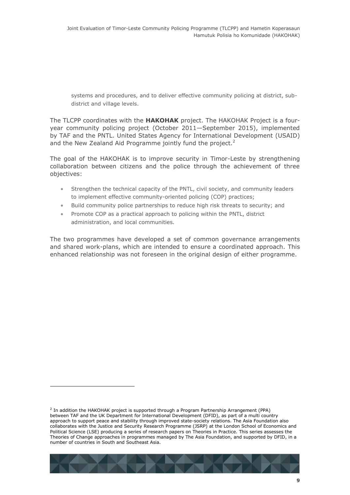systems and procedures, and to deliver effective community policing at district, subdistrict and village levels.

The TLCPP coordinates with the **HAKOHAK** project. The HAKOHAK Project is a fouryear community policing project (October 2011—September 2015), implemented by TAF and the PNTL. United States Agency for International Development (USAID) and the New Zealand Aid Programme jointly fund the project. $2^2$ 

The goal of the HAKOHAK is to improve security in Timor-Leste by strengthening collaboration between citizens and the police through the achievement of three objectives:

- Strengthen the technical capacity of the PNTL, civil society, and community leaders to implement effective community-oriented policing (COP) practices;
- Build community police partnerships to reduce high risk threats to security; and
- Promote COP as a practical approach to policing within the PNTL, district administration, and local communities.

The two programmes have developed a set of common governance arrangements and shared work-plans, which are intended to ensure a coordinated approach. This enhanced relationship was not foreseen in the original design of either programme.



<sup>&</sup>lt;sup>2</sup> In addition the HAKOHAK project is supported through a Program Partnership Arrangement (PPA) between TAF and the UK Department for International Development (DFID), as part of a multi country approach to support peace and stability through improved state-society relations. The Asia Foundation also collaborates with the Justice and Security Research Programme (JSRP) at the London School of Economics and Political Science (LSE) producing a series of research papers on Theories in Practice. This series assesses the Theories of Change approaches in programmes managed by The Asia Foundation, and supported by DFID, in a number of countries in South and Southeast Asia.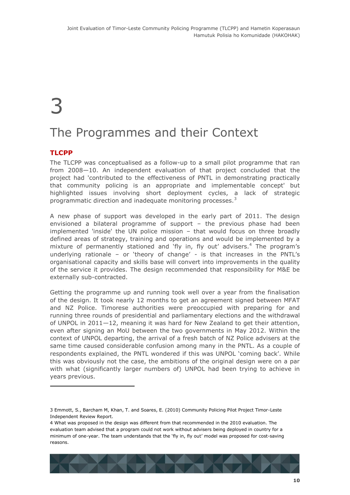# 3

### The Programmes and their Context

#### **TLCPP**

-

The TLCPP was conceptualised as a follow-up to a small pilot programme that ran from 2008—10. An independent evaluation of that project concluded that the project had 'contributed to the effectiveness of PNTL in demonstrating practically that community policing is an appropriate and implementable concept' but highlighted issues involving short deployment cycles, a lack of strategic programmatic direction and inadequate monitoring processes.<sup>3</sup>

A new phase of support was developed in the early part of 2011. The design envisioned a bilateral programme of support – the previous phase had been implemented 'inside' the UN police mission – that would focus on three broadly defined areas of strategy, training and operations and would be implemented by a mixture of permanently stationed and 'fly in, fly out' advisers.<sup>4</sup> The program's underlying rationale – or 'theory of change' - is that increases in the PNTL's organisational capacity and skills base will convert into improvements in the quality of the service it provides. The design recommended that responsibility for M&E be externally sub-contracted.

Getting the programme up and running took well over a year from the finalisation of the design. It took nearly 12 months to get an agreement signed between MFAT and NZ Police. Timorese authorities were preoccupied with preparing for and running three rounds of presidential and parliamentary elections and the withdrawal of UNPOL in 2011—12, meaning it was hard for New Zealand to get their attention, even after signing an MoU between the two governments in May 2012. Within the context of UNPOL departing, the arrival of a fresh batch of NZ Police advisers at the same time caused considerable confusion among many in the PNTL. As a couple of respondents explained, the PNTL wondered if this was UNPOL 'coming back'. While this was obviously not the case, the ambitions of the original design were on a par with what (significantly larger numbers of) UNPOL had been trying to achieve in years previous.

<sup>4</sup> What was proposed in the design was different from that recommended in the 2010 evaluation. The evaluation team advised that a program could not work without advisers being deployed in country for a minimum of one-year. The team understands that the 'fly in, fly out' model was proposed for cost-saving reasons.



<sup>3</sup> Emmott, S., Barcham M, Khan, T. and Soares, E. (2010) Community Policing Pilot Project Timor-Leste Independent Review Report.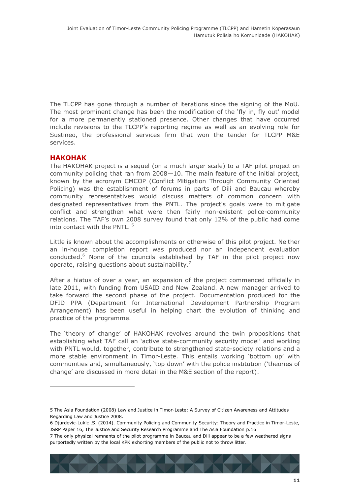The TLCPP has gone through a number of iterations since the signing of the MoU. The most prominent change has been the modification of the 'fly in, fly out' model for a more permanently stationed presence. Other changes that have occurred include revisions to the TLCPP's reporting regime as well as an evolving role for Sustineo, the professional services firm that won the tender for TLCPP M&E services.

#### **HAKOHAK**

-

The HAKOHAK project is a sequel (on a much larger scale) to a TAF pilot project on community policing that ran from 2008—10. The main feature of the initial project, known by the acronym CMCOP (Conflict Mitigation Through Community Oriented Policing) was the establishment of forums in parts of Dili and Baucau whereby community representatives would discuss matters of common concern with designated representatives from the PNTL. The project's goals were to mitigate conflict and strengthen what were then fairly non-existent police-community relations. The TAF's own 2008 survey found that only 12% of the public had come into contact with the PNTL. <sup>5</sup>

Little is known about the accomplishments or otherwise of this pilot project. Neither an in-house completion report was produced nor an independent evaluation conducted.<sup>6</sup> None of the councils established by TAF in the pilot project now operate, raising questions about sustainability. $<sup>7</sup>$ </sup>

After a hiatus of over a year, an expansion of the project commenced officially in late 2011, with funding from USAID and New Zealand. A new manager arrived to take forward the second phase of the project. Documentation produced for the DFID PPA (Department for International Development Partnership Program Arrangement) has been useful in helping chart the evolution of thinking and practice of the programme.

The 'theory of change' of HAKOHAK revolves around the twin propositions that establishing what TAF call an 'active state-community security model' and working with PNTL would, together, contribute to strengthened state-society relations and a more stable environment in Timor-Leste. This entails working 'bottom up' with communities and, simultaneously, 'top down' with the police institution ('theories of change' are discussed in more detail in the M&E section of the report).

<sup>7</sup> The only physical remnants of the pilot programme in Baucau and Dili appear to be a few weathered signs purportedly written by the local KPK exhorting members of the public not to throw litter.



<sup>5</sup> The Asia Foundation (2008) Law and Justice in Timor-Leste: A Survey of Citizen Awareness and Attitudes Regarding Law and Justice 2008.

<sup>6</sup> Djurdevic-Lukic ,S. (2014). Community Policing and Community Security: Theory and Practice in Timor-Leste, JSRP Paper 16, The Justice and Security Research Programme and The Asia Foundation p.16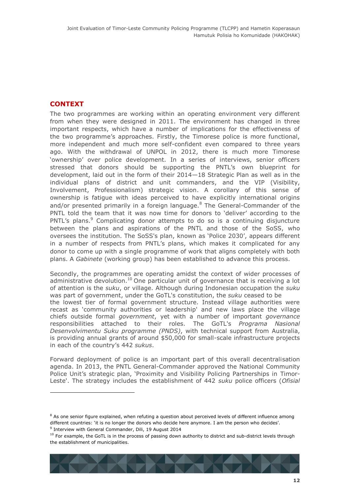#### **CONTEXT**

The two programmes are working within an operating environment very different from when they were designed in 2011. The environment has changed in three important respects, which have a number of implications for the effectiveness of the two programme's approaches. Firstly, the Timorese police is more functional, more independent and much more self-confident even compared to three years ago. With the withdrawal of UNPOL in 2012, there is much more Timorese 'ownership' over police development. In a series of interviews, senior officers stressed that donors should be supporting the PNTL's own blueprint for development, laid out in the form of their 2014—18 Strategic Plan as well as in the individual plans of district and unit commanders, and the VIP (Visibility, Involvement, Professionalism) strategic vision. A corollary of this sense of ownership is fatigue with ideas perceived to have explicitly international origins and/or presented primarily in a foreign language.<sup>8</sup> The General-Commander of the PNTL told the team that it was now time for donors to 'deliver' according to the PNTL's plans.<sup>9</sup> Complicating donor attempts to do so is a continuing disjuncture between the plans and aspirations of the PNTL and those of the SoSS, who oversees the institution. The SoSS's plan, known as 'Police 2030', appears different in a number of respects from PNTL's plans, which makes it complicated for any donor to come up with a single programme of work that aligns completely with both plans. A *Gabinete* (working group) has been established to advance this process.

Secondly, the programmes are operating amidst the context of wider processes of administrative devolution.<sup>10</sup> One particular unit of governance that is receiving a lot of attention is the *suku*, or village. Although during Indonesian occupation the *suku* was part of government, under the GoTL's constitution, the *suku* ceased to be the lowest tier of formal government structure. Instead village authorities were recast as 'community authorities or leadership' and new laws place the village chiefs outside formal *government*, yet with a number of important *governance*  responsibilities attached to their roles. The GoTL's *Programa Nasional Desenvolvimentu Suku programme (PNDS)*, with technical support from Australia, is providing annual grants of around \$50,000 for small-scale infrastructure projects in each of the country's 442 *sukus*.

Forward deployment of police is an important part of this overall decentralisation agenda. In 2013, the PNTL General-Commander approved the National Community Police Unit's strategic plan, 'Proximity and Visibility Policing Partnerships in Timor-Leste'. The strategy includes the establishment of 442 *suku* police officers (*Ofisial* 

 $10$  For example, the GoTL is in the process of passing down authority to district and sub-district levels through the establishment of municipalities.



<sup>&</sup>lt;sup>8</sup> As one senior figure explained, when refuting a question about perceived levels of different influence among different countries: 'it is no longer the donors who decide here anymore. I am the person who decides'.

<sup>&</sup>lt;sup>9</sup> Interview with General Commander, Dili, 19 August 2014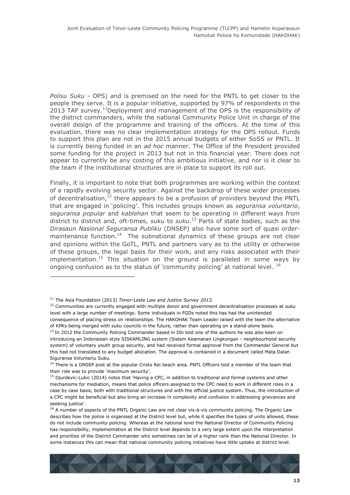*Polisu Suku* - OPS) and is premised on the need for the PNTL to get closer to the people they serve. It is a popular initiative, supported by 97% of respondents in the 2013 TAF survey.<sup>11</sup>Deployment and management of the OPS is the responsibility of the district commanders, while the national Community Police Unit in charge of the overall design of the programme and training of the officers. At the time of this evaluation, there was no clear implementation strategy for the OPS rollout. Funds to support this plan are not in the 2015 annual budgets of either SoSS or PNTL. It is currently being funded in an *ad hoc* manner. The Office of the President provided some funding for the project in 2013 but not in this financial year. There does not appear to currently be any costing of this ambitious initiative, and nor is it clear to the team if the institutional structures are in place to support its roll out.

Finally, it is important to note that both programmes are working within the context of a rapidly evolving security sector. Against the backdrop of these wider processes of decentralisation, $^{12}$  there appears to be a profusion of providers beyond the PNTL that are engaged in 'policing'. This includes groups known as *seguransa voluntario*, *seguransa popular* and *kablehan* that seem to be operating in different ways from district to district and, oft-times, *suku* to *suku*. <sup>13</sup> Parts of state bodies, such as the *Dirasaun Nasional Seguransa Publiku* (DNSEP) also have some sort of quasi ordermaintenance function.<sup>14</sup> The subnational dynamics of these groups are not clear and opinions within the GoTL, PNTL and partners vary as to the utility or otherwise of these groups, the legal basis for their work, and any risks associated with their implementation.<sup>15</sup> This situation on the ground is paralleled in some ways by ongoing confusion as to the status of 'community policing' at national level.<sup>16</sup>

<sup>&</sup>lt;sup>16</sup> A number of aspects of the PNTL Organic Law are not clear vis-à-vis community policing. The Organic Law describes how the police is organised at the District level but, while it specifies the types of units allowed, these do not include community policing. Whereas at the national level the National Director of Community Policing has responsibility, implementation at the District level depends to a very large extent upon the interpretation and priorities of the District Commander who sometimes can be of a higher rank than the National Director. In some instances this can mean that national community policing initiatives have little uptake at district level.



<sup>11</sup> The Asia Foundation (2013) *Timor-Leste Law and Justice Survey 2013.*

<sup>12</sup> Communities are currently engaged with multiple donor and government decentralisation processes at *suku* level with a large number of meetings. Some individuals in FGDs noted this has had the unintended consequence of placing stress on relationships. The HAKOHAK Team Leader raised with the team the alternative of KPKs being merged with *suku* councils in the future, rather than operating on a stand-alone basis.

<sup>&</sup>lt;sup>13</sup> In 2012 the Community Policing Commander based in Dili told one of the authors he was also keen on introducing an Indonesian style SISKAMLING system (Sistem Keamanan Lingkungan - neighbourhood security system) of voluntary youth group security, and had received formal approval from the Commander General but this had not translated to any budget allocation. The approval is contained in a document called Mata Dalan Siguransa Voluntariu Suku.

<sup>&</sup>lt;sup>14</sup> There is a DNSEP post at the popular Cristo Rei beach area. PNTL Officers told a member of the team that their role was to provide 'maximum security'.

<sup>&</sup>lt;sup>15</sup> Djurdevic-Lukic (2014) notes that 'Having a CPC, in addition to traditional and formal systems and other mechanisms for mediation, means that police officers assigned to the CPC need to work in different roles in a case by case basis, both with traditional structures and with the official justice system. Thus, the introduction of a CPC might be beneficial but also bring an increase in complexity and confusion in addressing grievances and seeking justice'.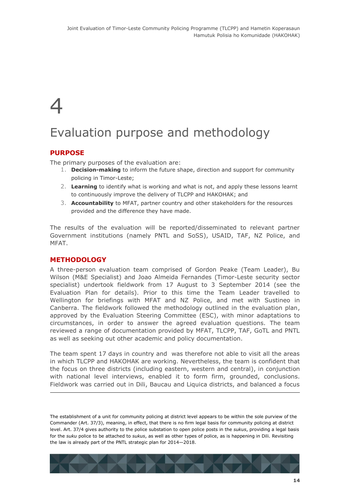# 4

### Evaluation purpose and methodology

#### **PURPOSE**

The primary purposes of the evaluation are:

- 1. **Decision-making** to inform the future shape, direction and support for community policing in Timor-Leste;
- 2. **Learning** to identify what is working and what is not, and apply these lessons learnt to continuously improve the delivery of TLCPP and HAKOHAK; and
- 3. **Accountability** to MFAT, partner country and other stakeholders for the resources provided and the difference they have made.

The results of the evaluation will be reported/disseminated to relevant partner Government institutions (namely PNTL and SoSS), USAID, TAF, NZ Police, and MFAT.

#### **METHODOLOGY**

-

A three-person evaluation team comprised of Gordon Peake (Team Leader), Bu Wilson (M&E Specialist) and Joao Almeida Fernandes (Timor-Leste security sector specialist) undertook fieldwork from 17 August to 3 September 2014 (see the Evaluation Plan for details). Prior to this time the Team Leader travelled to Wellington for briefings with MFAT and NZ Police, and met with Sustineo in Canberra. The fieldwork followed the methodology outlined in the evaluation plan, approved by the Evaluation Steering Committee (ESC), with minor adaptations to circumstances, in order to answer the agreed evaluation questions. The team reviewed a range of documentation provided by MFAT, TLCPP, TAF, GoTL and PNTL as well as seeking out other academic and policy documentation.

The team spent 17 days in country and was therefore not able to visit all the areas in which TLCPP and HAKOHAK are working. Nevertheless, the team is confident that the focus on three districts (including eastern, western and central), in conjunction with national level interviews, enabled it to form firm, grounded, conclusions. Fieldwork was carried out in Dili, Baucau and Liquica districts, and balanced a focus

The establishment of a unit for community policing at district level appears to be within the sole purview of the Commander (Art. 37/3), meaning, in effect, that there is no firm legal basis for community policing at district level. Art. 37/4 gives authority to the police substation to open police posts in the *sukus*, providing a legal basis for the *suku* police to be attached to *sukus*, as well as other types of police, as is happening in Dili. Revisiting the law is already part of the PNTL strategic plan for 2014—2018.

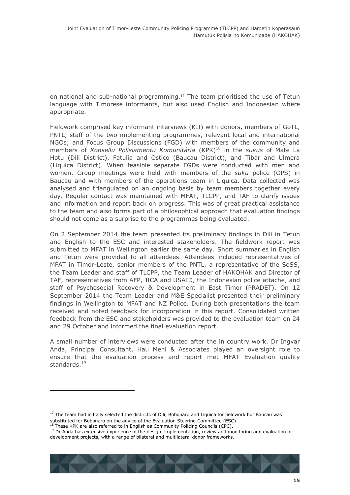on national and sub-national programming.<sup>17</sup> The team prioritised the use of Tetun language with Timorese informants, but also used English and Indonesian where appropriate.

Fieldwork comprised key informant interviews (KII) with donors, members of GoTL, PNTL, staff of the two implementing programmes, relevant local and international NGOs; and Focus Group Discussions (FGD) with members of the community and members of *Konsellu Polisiamentu Komunitária* (KPK)<sup>18</sup> in the *sukus* of Mate La Hotu (Dili District), Fatulia and Ostico (Baucau District), and Tibar and Ulmera (Liquica District). When feasible separate FGDs were conducted with men and women. Group meetings were held with members of the *suku* police (OPS) in Baucau and with members of the operations team in Liquica. Data collected was analysed and triangulated on an ongoing basis by team members together every day. Regular contact was maintained with MFAT, TLCPP, and TAF to clarify issues and information and report back on progress. This was of great practical assistance to the team and also forms part of a philosophical approach that evaluation findings should not come as a surprise to the programmes being evaluated.

On 2 September 2014 the team presented its preliminary findings in Dili in Tetun and English to the ESC and interested stakeholders. The fieldwork report was submitted to MFAT in Wellington earlier the same day. Short summaries in English and Tetun were provided to all attendees. Attendees included representatives of MFAT in Timor-Leste, senior members of the PNTL, a representative of the SoSS, the Team Leader and staff of TLCPP, the Team Leader of HAKOHAK and Director of TAF, representatives from AFP, JICA and USAID, the Indonesian police attache, and staff of Psychosocial Recovery & Development in East Timor (PRADET). On 12 September 2014 the Team Leader and M&E Specialist presented their preliminary findings in Wellington to MFAT and NZ Police. During both presentations the team received and noted feedback for incorporation in this report. Consolidated written feedback from the ESC and stakeholders was provided to the evaluation team on 24 and 29 October and informed the final evaluation report.

A small number of interviews were conducted after the in country work. Dr Ingvar Anda, Principal Consultant, Hau Meni & Associates played an oversight role to ensure that the evaluation process and report met MFAT Evaluation quality standards.<sup>19</sup>

<sup>&</sup>lt;sup>19</sup> Dr Anda has extensive experience in the design, implementation, review and monitoring and evaluation of development projects, with a range of bilateral and multilateral donor frameworks.



<sup>&</sup>lt;sup>17</sup> The team had initially selected the districts of Dili, Bobonaro and Liquica for fieldwork but Baucau was substituted for Bobonaro on the advice of the Evaluation Steering Committee (ESC).

These KPK are also referred to in English as Community Policing Councils (CPC).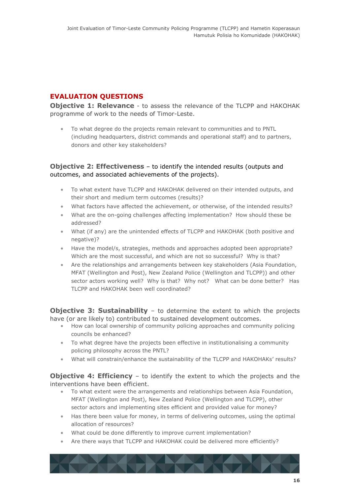#### **EVALUATION QUESTIONS**

**Objective 1: Relevance** - to assess the relevance of the TLCPP and HAKOHAK programme of work to the needs of Timor-Leste.

 To what degree do the projects remain relevant to communities and to PNTL (including headquarters, district commands and operational staff) and to partners, donors and other key stakeholders?

#### **Objective 2: Effectiveness** – to identify the intended results (outputs and outcomes, and associated achievements of the projects).

- To what extent have TLCPP and HAKOHAK delivered on their intended outputs, and their short and medium term outcomes (results)?
- What factors have affected the achievement, or otherwise, of the intended results?
- What are the on-going challenges affecting implementation? How should these be addressed?
- What (if any) are the unintended effects of TLCPP and HAKOHAK (both positive and negative)?
- Have the model/s, strategies, methods and approaches adopted been appropriate? Which are the most successful, and which are not so successful? Why is that?
- Are the relationships and arrangements between key stakeholders (Asia Foundation, MFAT (Wellington and Post), New Zealand Police (Wellington and TLCPP)) and other sector actors working well? Why is that? Why not? What can be done better? Has TLCPP and HAKOHAK been well coordinated?

**Objective 3: Sustainability** – to determine the extent to which the projects have (or are likely to) contributed to sustained development outcomes.

- How can local ownership of community policing approaches and community policing councils be enhanced?
- To what degree have the projects been effective in institutionalising a community policing philosophy across the PNTL?
- What will constrain/enhance the sustainability of the TLCPP and HAKOHAKs' results?

**Objective 4: Efficiency** – to identify the extent to which the projects and the interventions have been efficient.

- To what extent were the arrangements and relationships between Asia Foundation, MFAT (Wellington and Post), New Zealand Police (Wellington and TLCPP), other sector actors and implementing sites efficient and provided value for money?
- Has there been value for money, in terms of delivering outcomes, using the optimal allocation of resources?
- What could be done differently to improve current implementation?
- Are there ways that TLCPP and HAKOHAK could be delivered more efficiently?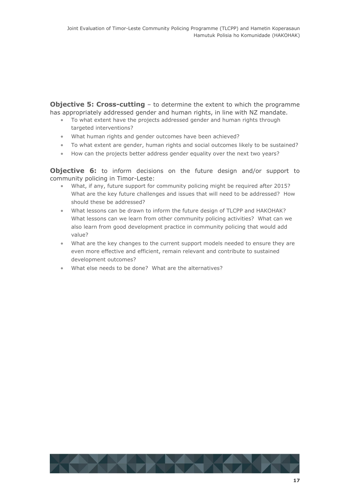**Objective 5: Cross-cutting** – to determine the extent to which the programme has appropriately addressed gender and human rights, in line with NZ mandate.

- To what extent have the projects addressed gender and human rights through targeted interventions?
- What human rights and gender outcomes have been achieved?
- To what extent are gender, human rights and social outcomes likely to be sustained?
- How can the projects better address gender equality over the next two years?

**Objective 6:** to inform decisions on the future design and/or support to community policing in Timor-Leste:

- What, if any, future support for community policing might be required after 2015? What are the key future challenges and issues that will need to be addressed? How should these be addressed?
- What lessons can be drawn to inform the future design of TLCPP and HAKOHAK? What lessons can we learn from other community policing activities? What can we also learn from good development practice in community policing that would add value?
- What are the key changes to the current support models needed to ensure they are even more effective and efficient, remain relevant and contribute to sustained development outcomes?
- What else needs to be done? What are the alternatives?

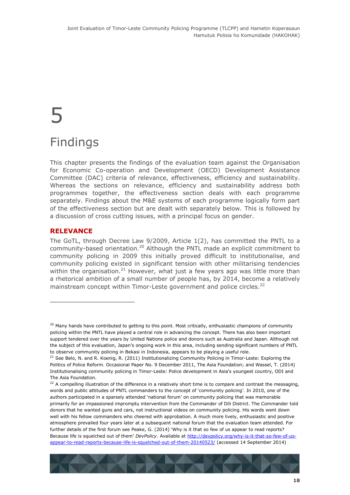## 5 Findings

This chapter presents the findings of the evaluation team against the Organisation for Economic Co-operation and Development (OECD) Development Assistance Committee (DAC) criteria of relevance, effectiveness, efficiency and sustainability. Whereas the sections on relevance, efficiency and sustainability address both programmes together, the effectiveness section deals with each programme separately. Findings about the M&E systems of each programme logically form part of the effectiveness section but are dealt with separately below. This is followed by a discussion of cross cutting issues, with a principal focus on gender.

#### **RELEVANCE**

-

The GoTL, through Decree Law 9/2009, Article 1(2), has committed the PNTL to a community-based orientation.<sup>20</sup> Although the PNTL made an explicit commitment to community policing in 2009 this initially proved difficult to institutionalise, and community policing existed in significant tension with other militarising tendencies within the organisation.<sup>21</sup> However, what just a few years ago was little more than a rhetorical ambition of a small number of people has, by 2014, become a relatively mainstream concept within Timor-Leste government and police circles.<sup>22</sup>

 $22$  A compelling illustration of the difference in a relatively short time is to compare and contrast the messaging, words and public attitudes of PNTL commanders to the concept of 'community policing'. In 2010, one of the authors participated in a sparsely attended 'national forum' on community policing that was memorable primarily for an impassioned impromptu intervention from the Commander of Dili District. The Commander told donors that he wanted guns and cars, not instructional videos on community policing. His words went down well with his fellow commanders who cheered with approbation. A much more lively, enthusiastic and positive atmosphere prevailed four years later at a subsequent national forum that the evaluation team attended. For further details of the first forum see Peake, G. (2014) 'Why is it that so few of us appear to read reports? Because life is squelched out of them' *DevPolicy.* Available a[t http://devpolicy.org/why-is-it-that-so-few-of-us](http://devpolicy.org/why-is-it-that-so-few-of-us-appear-to-read-reports-because-life-is-squelched-out-of-them-20140523/)[appear-to-read-reports-because-life-is-squelched-out-of-them-20140523/](http://devpolicy.org/why-is-it-that-so-few-of-us-appear-to-read-reports-because-life-is-squelched-out-of-them-20140523/) (accessed 14 September 2014)



<sup>&</sup>lt;sup>20</sup> Many hands have contributed to getting to this point. Most critically, enthusiastic champions of community policing within the PNTL have played a central role in advancing the concept. There has also been important support tendered over the years by United Nations police and donors such as Australia and Japan. Although not the subject of this evaluation, Japan's ongoing work in this area, including sending significant numbers of PNTL to observe community policing in Bekasi in Indonesia, appears to be playing a useful role.

<sup>&</sup>lt;sup>21</sup> See Belo, N. and R. Koenig, R. (2011) Institutionalizing Community Policing in Timor-Leste: Exploring the Politics of Police Reform. Occasional Paper No. 9 December 2011, The Asia Foundation; and Wassel, T. (2014) Institutionalising community policing in Timor-Leste: Police development in Asia's youngest country, ODI and The Asia Foundation.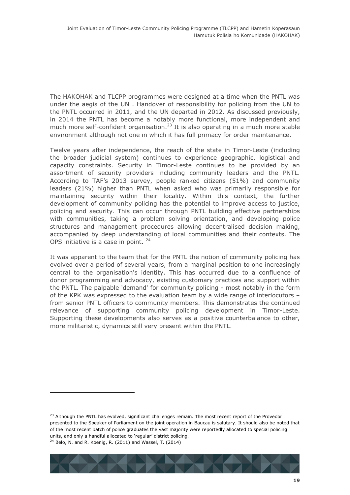The HAKOHAK and TLCPP programmes were designed at a time when the PNTL was under the aegis of the UN . Handover of responsibility for policing from the UN to the PNTL occurred in 2011, and the UN departed in 2012. As discussed previously, in 2014 the PNTL has become a notably more functional, more independent and much more self-confident organisation.<sup>23</sup> It is also operating in a much more stable environment although not one in which it has full primacy for order maintenance.

Twelve years after independence, the reach of the state in Timor-Leste (including the broader judicial system) continues to experience geographic, logistical and capacity constraints. Security in Timor-Leste continues to be provided by an assortment of security providers including community leaders and the PNTL. According to TAF's 2013 survey, people ranked citizens (51%) and community leaders (21%) higher than PNTL when asked who was primarily responsible for maintaining security within their locality. Within this context, the further development of community policing has the potential to improve access to justice, policing and security. This can occur through PNTL building effective partnerships with communities, taking a problem solving orientation, and developing police structures and management procedures allowing decentralised decision making, accompanied by deep understanding of local communities and their contexts. The OPS initiative is a case in point. <sup>24</sup>

It was apparent to the team that for the PNTL the notion of community policing has evolved over a period of several years, from a marginal position to one increasingly central to the organisation's identity. This has occurred due to a confluence of donor programming and advocacy, existing customary practices and support within the PNTL. The palpable 'demand' for community policing - most notably in the form of the KPK was expressed to the evaluation team by a wide range of interlocutors – from senior PNTL officers to community members. This demonstrates the continued relevance of supporting community policing development in Timor-Leste. Supporting these developments also serves as a positive counterbalance to other, more militaristic, dynamics still very present within the PNTL.



<sup>&</sup>lt;sup>23</sup> Although the PNTL has evolved, significant challenges remain. The most recent report of the Provedor presented to the Speaker of Parliament on the joint operation in Baucau is salutary. It should also be noted that of the most recent batch of police graduates the vast majority were reportedly allocated to special policing units, and only a handful allocated to 'regular' district policing. <sup>24</sup> Belo, N. and R. Koenig, R. (2011) and Wassel, T. (2014)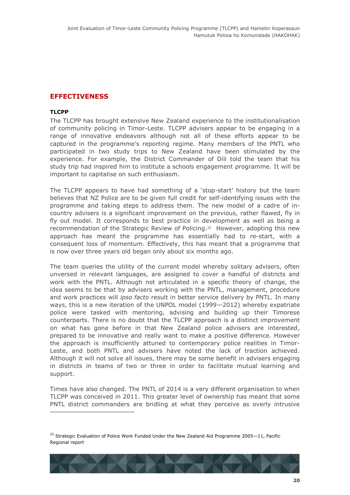#### **EFFECTIVENESS**

#### **TLCPP**

-

The TLCPP has brought extensive New Zealand experience to the institutionalisation of community policing in Timor-Leste. TLCPP advisers appear to be engaging in a range of innovative endeavors although not all of these efforts appear to be captured in the programme's reporting regime. Many members of the PNTL who participated in two study trips to New Zealand have been stimulated by the experience. For example, the District Commander of Dili told the team that his study trip had inspired him to institute a schools engagement programme. It will be important to capitalise on such enthusiasm.

The TLCPP appears to have had something of a 'stop-start' history but the team believes that NZ Police are to be given full credit for self-identifying issues with the programme and taking steps to address them. The new model of a cadre of incountry advisers is a significant improvement on the previous, rather flawed, fly in fly out model. It corresponds to best practice in development as well as being a recommendation of the Strategic Review of Policing.25 However, adopting this new approach has meant the programme has essentially had to re-start, with a consequent loss of momentum. Effectively, this has meant that a programme that is now over three years old began only about six months ago.

The team queries the utility of the current model whereby solitary advisers, often unversed in relevant languages, are assigned to cover a handful of districts and work with the PNTL. Although not articulated in a specific theory of change, the idea seems to be that by advisers working with the PNTL, management, procedure and work practices will *ipso facto* result in better service delivery by PNTL. In many ways, this is a new iteration of the UNPOL model (1999—2012) whereby expatriate police were tasked with mentoring, advising and building up their Timorese counterparts. There is no doubt that the TLCPP approach is a distinct improvement on what has gone before in that New Zealand police advisers are interested, prepared to be innovative and really want to make a positive difference. However the approach is insufficiently attuned to contemporary police realities in Timor-Leste, and both PNTL and advisers have noted the lack of traction achieved. Although it will not solve all issues, there may be some benefit in advisers engaging in districts in teams of two or three in order to facilitate mutual learning and support.

Times have also changed. The PNTL of 2014 is a very different organisation to when TLCPP was conceived in 2011. This greater level of ownership has meant that some PNTL district commanders are bridling at what they perceive as overly intrusive

 $25$  Strategic Evaluation of Police Work Funded Under the New Zealand Aid Programme 2005 $-11$ , Pacific Regional report

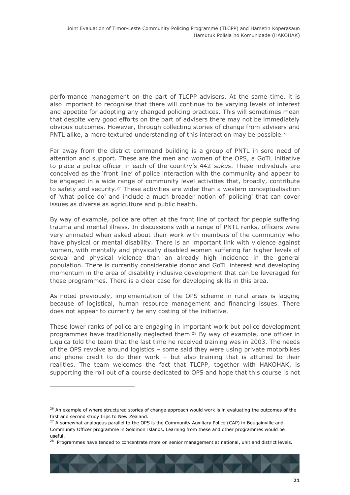performance management on the part of TLCPP advisers. At the same time, it is also important to recognise that there will continue to be varying levels of interest and appetite for adopting any changed policing practices. This will sometimes mean that despite very good efforts on the part of advisers there may not be immediately obvious outcomes. However, through collecting stories of change from advisers and PNTL alike, a more textured understanding of this interaction may be possible.<sup>26</sup>

Far away from the district command building is a group of PNTL in sore need of attention and support. These are the men and women of the OPS, a GoTL initiative to place a police officer in each of the country's 442 *sukus*. These individuals are conceived as the 'front line' of police interaction with the community and appear to be engaged in a wide range of community level activities that, broadly, contribute to safety and security.<sup>27</sup> These activities are wider than a western conceptualisation of 'what police do' and include a much broader notion of 'policing' that can cover issues as diverse as agriculture and public health.

By way of example, police are often at the front line of contact for people suffering trauma and mental illness. In discussions with a range of PNTL ranks, officers were very animated when asked about their work with members of the community who have physical or mental disability. There is an important link with violence against women, with mentally and physically disabled women suffering far higher levels of sexual and physical violence than an already high incidence in the general population. There is currently considerable donor and GoTL interest and developing momentum in the area of disability inclusive development that can be leveraged for these programmes. There is a clear case for developing skills in this area.

As noted previously, implementation of the OPS scheme in rural areas is lagging because of logistical, human resource management and financing issues. There does not appear to currently be any costing of the initiative.

These lower ranks of police are engaging in important work but police development programmes have traditionally neglected them.<sup>28</sup> By way of example, one officer in Liquica told the team that the last time he received training was in 2003. The needs of the OPS revolve around logistics – some said they were using private motorbikes and phone credit to do their work – but also training that is attuned to their realities. The team welcomes the fact that TLCPP, together with HAKOHAK, is supporting the roll out of a course dedicated to OPS and hope that this course is not

<sup>&</sup>lt;sup>28</sup> Programmes have tended to concentrate more on senior management at national, unit and district levels.



<sup>&</sup>lt;sup>26</sup> An example of where structured stories of change approach would work is in evaluating the outcomes of the first and second study trips to New Zealand.

<sup>&</sup>lt;sup>27</sup> A somewhat analogous parallel to the OPS is the Community Auxiliary Police (CAP) in Bougainville and Community Officer programme in Solomon Islands. Learning from these and other programmes would be useful.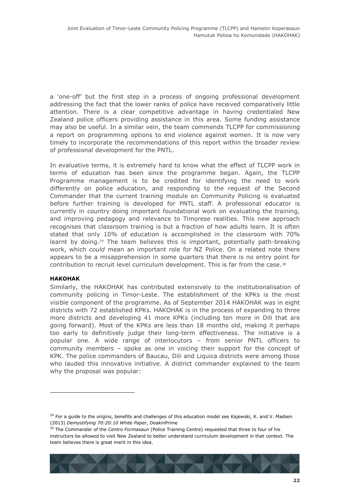a 'one-off' but the first step in a process of ongoing professional development addressing the fact that the lower ranks of police have received comparatively little attention. There is a clear competitive advantage in having credentialed New Zealand police officers providing assistance in this area. Some funding assistance may also be useful. In a similar vein, the team commends TLCPP for commissioning a report on programming options to end violence against women. It is now very timely to incorporate the recommendations of this report within the broader review of professional development for the PNTL.

In evaluative terms, it is extremely hard to know what the effect of TLCPP work in terms of education has been since the programme began. Again, the TLCPP Programme management is to be credited for identifying the need to work differently on police education, and responding to the request of the Second Commander that the current training module on Community Policing is evaluated before further training is developed for PNTL staff. A professional educator is currently in country doing important foundational work on evaluating the training, and improving pedagogy and relevance to Timorese realities. This new approach recognises that classroom training is but a fraction of how adults learn. It is often stated that only 10% of education is accomplished in the classroom with 70% learnt by doing.<sup>29</sup> The team believes this is important, potentially path-breaking work, which *could* mean an important role for NZ Police. On a related note there appears to be a misapprehension in some quarters that there is no entry point for contribution to recruit level curriculum development. This is far from the case.<sup>30</sup>

#### **HAKOHAK**

-

Similarly, the HAKOHAK has contributed extensively to the institutionalisation of community policing in Timor-Leste. The establishment of the KPKs is the most visible component of the programme. As of September 2014 HAKOHAK was in eight districts with 72 established KPKs. HAKOHAK is in the process of expanding to three more districts and developing 41 more KPKs (including ten more in Dili that are going forward). Most of the KPKs are less than 18 months old, making it perhaps too early to definitively judge their long-term effectiveness. The initiative is a popular one. A wide range of interlocutors – from senior PNTL officers to community members – spoke as one in voicing their support for the concept of KPK. The police commanders of Baucau, Dili and Liquica districts were among those who lauded this innovative initiative. A district commander explained to the team why the proposal was popular:

<sup>30</sup> The Commander of the *Centro Formasaun* (Police Training Centre) requested that three to four of his instructors be allowed to visit New Zealand to better understand curriculum development in that context. The team believes there is great merit in this idea.



<sup>&</sup>lt;sup>29</sup> For a quide to the origins, benefits and challenges of this education model see Kajewski, K. and V. Madsen (2013) *Demystifying 70:20:10 White Paper*, DeakinPrime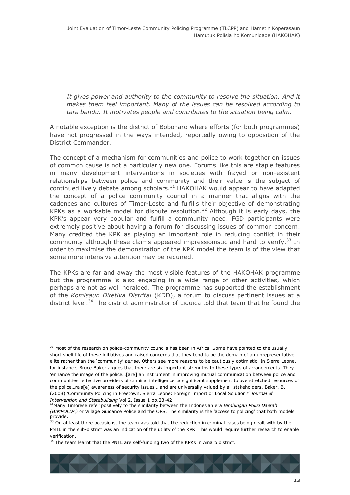*It gives power and authority to the community to resolve the situation. And it makes them feel important. Many of the issues can be resolved according to tara bandu. It motivates people and contributes to the situation being calm.*

A notable exception is the district of Bobonaro where efforts (for both programmes) have not progressed in the ways intended, reportedly owing to opposition of the District Commander.

The concept of a mechanism for communities and police to work together on issues of common cause is not a particularly new one. Forums like this are staple features in many development interventions in societies with frayed or non-existent relationships between police and community and their value is the subject of continued lively debate among scholars.<sup>31</sup> HAKOHAK would appear to have adapted the concept of a police community council in a manner that aligns with the cadences and cultures of Timor-Leste and fulfills their objective of demonstrating KPKs as a workable model for dispute resolution.<sup>32</sup> Although it is early days, the KPK's appear very popular and fulfill a community need. FGD participants were extremely positive about having a forum for discussing issues of common concern. Many credited the KPK as playing an important role in reducing conflict in their community although these claims appeared impressionistic and hard to verify.<sup>33</sup> In order to maximise the demonstration of the KPK model the team is of the view that some more intensive attention may be required.

The KPKs are far and away the most visible features of the HAKOHAK programme but the programme is also engaging in a wide range of other activities, which perhaps are not as well heralded. The programme has supported the establishment of the *Komisaun Diretiva Distrital* (KDD), a forum to discuss pertinent issues at a district level.<sup>34</sup> The district administrator of Liquica told that team that he found the



 $31$  Most of the research on police-community councils has been in Africa. Some have pointed to the usually short shelf life of these initiatives and raised concerns that they tend to be the domain of an unrepresentative elite rather than the 'community' *per se*. Others see more reasons to be cautiously optimistic. In Sierra Leone, for instance, Bruce Baker argues that there are six important strengths to these types of arrangements. They 'enhance the image of the police…[are] an instrument in improving mutual communication between police and communities…effective providers of criminal intelligence…a significant supplement to overstretched resources of the police…rais[e] awareness of security issues …and are universally valued by all stakeholders. Baker, B. (2008) 'Community Policing in Freetown, Sierra Leone: Foreign Import or Local Solution?' *Journal of* 

*Intervention and Statebuilding* Vol 2, Issue 1 pp.23-42 <sup>32</sup> Many Timorese refer positively to the similarity between the Indonesian era *Bimbingan Polisi Daerah (BIMPOLDA)* or Village Guidance Police and the OPS. The similarity is the 'access to policing' that both models provide.

 $33$  On at least three occasions, the team was told that the reduction in criminal cases being dealt with by the PNTL in the sub-district was an indication of the utility of the KPK. This would require further research to enable verification.

 $34$  The team learnt that the PNTL are self-funding two of the KPKs in Ainaro district.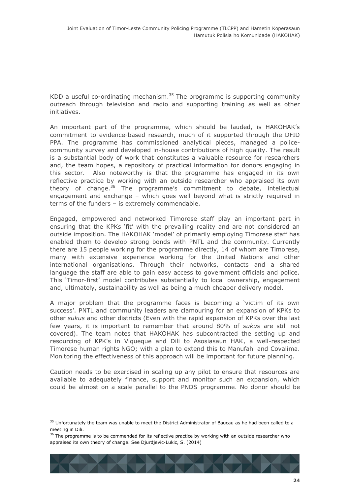KDD a useful co-ordinating mechanism.<sup>35</sup> The programme is supporting community outreach through television and radio and supporting training as well as other initiatives.

An important part of the programme, which should be lauded, is HAKOHAK's commitment to evidence-based research, much of it supported through the DFID PPA. The programme has commissioned analytical pieces, managed a policecommunity survey and developed in-house contributions of high quality. The result is a substantial body of work that constitutes a valuable resource for researchers and, the team hopes, a repository of practical information for donors engaging in this sector. Also noteworthy is that the programme has engaged in its own reflective practice by working with an outside researcher who appraised its own theory of change.<sup>36</sup> The programme's commitment to debate, intellectual engagement and exchange – which goes well beyond what is strictly required in terms of the funders – is extremely commendable.

Engaged, empowered and networked Timorese staff play an important part in ensuring that the KPKs 'fit' with the prevailing reality and are not considered an outside imposition. The HAKOHAK 'model' of primarily employing Timorese staff has enabled them to develop strong bonds with PNTL and the community. Currently there are 15 people working for the programme directly, 14 of whom are Timorese, many with extensive experience working for the United Nations and other international organisations. Through their networks, contacts and a shared language the staff are able to gain easy access to government officials and police. This 'Timor-first' model contributes substantially to local ownership, engagement and, ultimately, sustainability as well as being a much cheaper delivery model.

A major problem that the programme faces is becoming a 'victim of its own success'. PNTL and community leaders are clamouring for an expansion of KPKs to other *sukus* and other districts (Even with the rapid expansion of KPKs over the last few years, it is important to remember that around 80% of *sukus* are still not covered). The team notes that HAKOHAK has subcontracted the setting up and resourcing of KPK's in Viqueque and Dili to Asosiasaun HAK, a well-respected Timorese human rights NGO; with a plan to extend this to Manufahi and Covalima. Monitoring the effectiveness of this approach will be important for future planning.

Caution needs to be exercised in scaling up any pilot to ensure that resources are available to adequately finance, support and monitor such an expansion, which could be almost on a scale parallel to the PNDS programme. No donor should be

<sup>&</sup>lt;sup>36</sup> The programme is to be commended for its reflective practice by working with an outside researcher who appraised its own theory of change. See Djurdjevic-Lukic, S. (2014)



 $35$  Unfortunately the team was unable to meet the District Administrator of Baucau as he had been called to a meeting in Dili.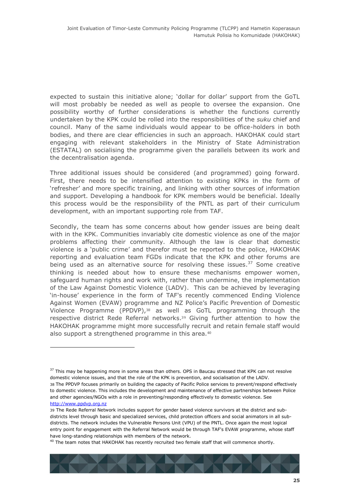expected to sustain this initiative alone; 'dollar for dollar' support from the GoTL will most probably be needed as well as people to oversee the expansion. One possibility worthy of further considerations is whether the functions currently undertaken by the KPK could be rolled into the responsibilities of the *suku* chief and council. Many of the same individuals would appear to be office-holders in both bodies, and there are clear efficiencies in such an approach. HAKOHAK could start engaging with relevant stakeholders in the Ministry of State Administration (ESTATAL) on socialising the programme given the parallels between its work and the decentralisation agenda.

Three additional issues should be considered (and programmed) going forward. First, there needs to be intensified attention to existing KPKs in the form of 'refresher' and more specific training, and linking with other sources of information and support. Developing a handbook for KPK members would be beneficial. Ideally this process would be the responsibility of the PNTL as part of their curriculum development, with an important supporting role from TAF.

Secondly, the team has some concerns about how gender issues are being dealt with in the KPK. Communities invariably cite domestic violence as one of the major problems affecting their community. Although the law is clear that domestic violence is a 'public crime' and therefor must be reported to the police, HAKOHAK reporting and evaluation team FGDs indicate that the KPK and other forums are being used as an alternative source for resolving these issues.<sup>37</sup> Some creative thinking is needed about how to ensure these mechanisms empower women, safeguard human rights and work with, rather than undermine, the implementation of the Law Against Domestic Violence (LADV). This can be achieved by leveraging 'in-house' experience in the form of TAF's recently commenced Ending Violence Against Women (EVAW) programme and NZ Police's Pacific Prevention of Domestic Violence Programme (PPDVP),<sup>38</sup> as well as GoTL programming through the respective district Rede Referral networks. <sup>39</sup> Giving further attention to how the HAKOHAK programme might more successfully recruit and retain female staff would also support a strengthened programme in this area.<sup>40</sup>

<sup>&</sup>lt;sup>40</sup> The team notes that HAKOHAK has recently recruited two female staff that will commence shortly.



<sup>&</sup>lt;sup>37</sup> This may be happening more in some areas than others. OPS in Baucau stressed that KPK can not resolve domestic violence issues, and that the role of the KPK is prevention, and socialisation of the LADV.

<sup>38</sup> The PPDVP focuses primarily on building the capacity of Pacific Police services to prevent/respond effectively to domestic violence. This includes the development and maintenance of effective partnerships between Police and other agencies/NGOs with a role in preventing/responding effectively to domestic violence. See [http://www.ppdvp.org.nz](http://www.ppdvp.org.nz/)

<sup>39</sup> The Rede Referral Network includes support for gender based violence survivors at the district and subdistricts level through basic and specialized services, child protection officers and social animators in all subdistricts. The network includes the Vulnerable Persons Unit (VPU) of the PNTL. Once again the most logical entry point for engagement with the Referral Network would be through TAF's EVAW programme, whose staff have long-standing relationships with members of the network.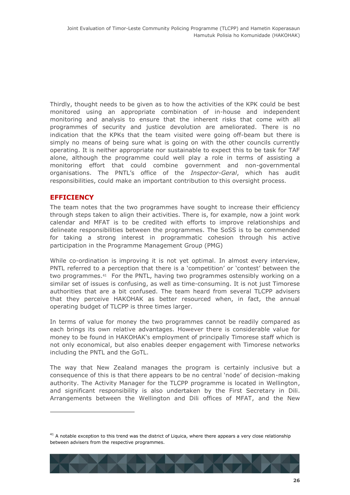Thirdly, thought needs to be given as to how the activities of the KPK could be best monitored using an appropriate combination of in-house and independent monitoring and analysis to ensure that the inherent risks that come with all programmes of security and justice devolution are ameliorated. There is no indication that the KPKs that the team visited were going off-beam but there is simply no means of being sure what is going on with the other councils currently operating. It is neither appropriate nor sustainable to expect this to be task for TAF alone, although the programme could well play a role in terms of assisting a monitoring effort that could combine government and non-governmental organisations. The PNTL's office of the *Inspector-Geral*, which has audit responsibilities, could make an important contribution to this oversight process.

#### **EFFICIENCY**

-

The team notes that the two programmes have sought to increase their efficiency through steps taken to align their activities. There is, for example, now a joint work calendar and MFAT is to be credited with efforts to improve relationships and delineate responsibilities between the programmes. The SoSS is to be commended for taking a strong interest in programmatic cohesion through his active participation in the Programme Management Group (PMG)

While co-ordination is improving it is not yet optimal. In almost every interview, PNTL referred to a perception that there is a 'competition' or 'contest' between the two programmes. <sup>41</sup> For the PNTL, having two programmes ostensibly working on a similar set of issues is confusing, as well as time-consuming. It is not just Timorese authorities that are a bit confused. The team heard from several TLCPP advisers that they perceive HAKOHAK as better resourced when, in fact, the annual operating budget of TLCPP is three times larger.

In terms of value for money the two programmes cannot be readily compared as each brings its own relative advantages. However there is considerable value for money to be found in HAKOHAK's employment of principally Timorese staff which is not only economical, but also enables deeper engagement with Timorese networks including the PNTL and the GoTL.

The way that New Zealand manages the program is certainly inclusive but a consequence of this is that there appears to be no central 'node' of decision-making authority. The Activity Manager for the TLCPP programme is located in Wellington, and significant responsibility is also undertaken by the First Secretary in Dili. Arrangements between the Wellington and Dili offices of MFAT, and the New

 $41$  A notable exception to this trend was the district of Liquica, where there appears a very close relationship between advisers from the respective programmes.

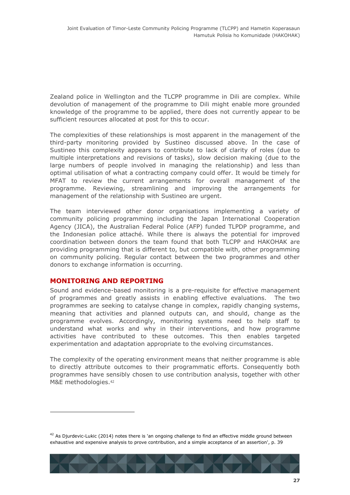Zealand police in Wellington and the TLCPP programme in Dili are complex. While devolution of management of the programme to Dili might enable more grounded knowledge of the programme to be applied, there does not currently appear to be sufficient resources allocated at post for this to occur.

The complexities of these relationships is most apparent in the management of the third-party monitoring provided by Sustineo discussed above. In the case of Sustineo this complexity appears to contribute to lack of clarity of roles (due to multiple interpretations and revisions of tasks), slow decision making (due to the large numbers of people involved in managing the relationship) and less than optimal utilisation of what a contracting company could offer. It would be timely for MFAT to review the current arrangements for overall management of the programme. Reviewing, streamlining and improving the arrangements for management of the relationship with Sustineo are urgent.

The team interviewed other donor organisations implementing a variety of community policing programming including the Japan International Cooperation Agency (JICA), the Australian Federal Police (AFP) funded TLPDP programme, and the Indonesian police attaché. While there is always the potential for improved coordination between donors the team found that both TLCPP and HAKOHAK are providing programming that is different to, but compatible with, other programming on community policing. Regular contact between the two programmes and other donors to exchange information is occurring.

#### **MONITORING AND REPORTING**

-

Sound and evidence-based monitoring is a pre-requisite for effective management of programmes and greatly assists in enabling effective evaluations. The two programmes are seeking to catalyse change in complex, rapidly changing systems, meaning that activities and planned outputs can, and should, change as the programme evolves. Accordingly, monitoring systems need to help staff to understand what works and why in their interventions, and how programme activities have contributed to these outcomes. This then enables targeted experimentation and adaptation appropriate to the evolving circumstances.

The complexity of the operating environment means that neither programme is able to directly attribute outcomes to their programmatic efforts. Consequently both programmes have sensibly chosen to use contribution analysis, together with other M&E methodologies.<sup>42</sup>

 $42$  As Djurdevic-Lukic (2014) notes there is 'an ongoing challenge to find an effective middle ground between exhaustive and expensive analysis to prove contribution, and a simple acceptance of an assertion', p. 39

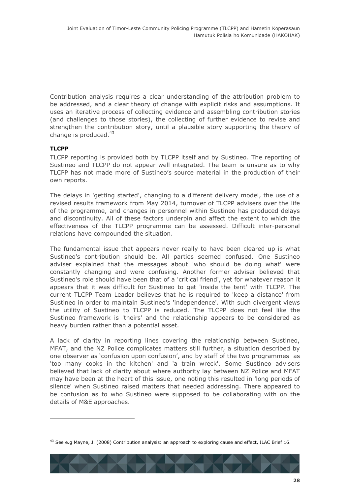Contribution analysis requires a clear understanding of the attribution problem to be addressed, and a clear theory of change with explicit risks and assumptions. It uses an iterative process of collecting evidence and assembling contribution stories (and challenges to those stories), the collecting of further evidence to revise and strengthen the contribution story, until a plausible story supporting the theory of change is produced. $43$ 

#### **TLCPP**

-

TLCPP reporting is provided both by TLCPP itself and by Sustineo. The reporting of Sustineo and TLCPP do not appear well integrated. The team is unsure as to why TLCPP has not made more of Sustineo's source material in the production of their own reports.

The delays in 'getting started', changing to a different delivery model, the use of a revised results framework from May 2014, turnover of TLCPP advisers over the life of the programme, and changes in personnel within Sustineo has produced delays and discontinuity. All of these factors underpin and affect the extent to which the effectiveness of the TLCPP programme can be assessed. Difficult inter-personal relations have compounded the situation.

The fundamental issue that appears never really to have been cleared up is what Sustineo's contribution should be. All parties seemed confused. One Sustineo adviser explained that the messages about 'who should be doing what' were constantly changing and were confusing. Another former adviser believed that Sustineo's role should have been that of a 'critical friend', yet for whatever reason it appears that it was difficult for Sustineo to get 'inside the tent' with TLCPP. The current TLCPP Team Leader believes that he is required to 'keep a distance' from Sustineo in order to maintain Sustineo's 'independence'. With such divergent views the utility of Sustineo to TLCPP is reduced. The TLCPP does not feel like the Sustineo framework is 'theirs' and the relationship appears to be considered as heavy burden rather than a potential asset.

A lack of clarity in reporting lines covering the relationship between Sustineo, MFAT, and the NZ Police complicates matters still further, a situation described by one observer as 'confusion upon confusion', and by staff of the two programmes as 'too many cooks in the kitchen' and 'a train wreck'. Some Sustineo advisers believed that lack of clarity about where authority lay between NZ Police and MFAT may have been at the heart of this issue, one noting this resulted in 'long periods of silence' when Sustineo raised matters that needed addressing. There appeared to be confusion as to who Sustineo were supposed to be collaborating with on the details of M&E approaches.

 $^{43}$  See e.g Mayne, J. (2008) Contribution analysis: an approach to exploring cause and effect, ILAC Brief 16.

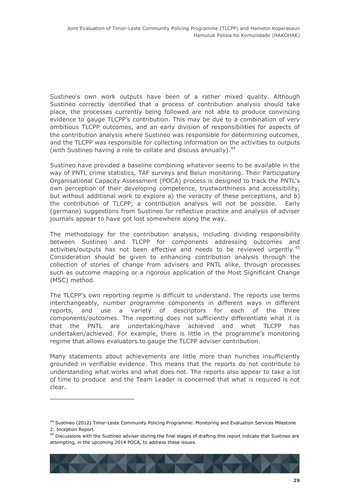Sustineo's own work outputs have been of a rather mixed quality. Although Sustineo correctly identified that a process of contribution analysis should take place, the processes currently being followed are not able to produce convincing evidence to gauge TLCPP's contribution. This may be due to a combination of very ambitious TLCPP outcomes, and an early division of responsibilities for aspects of the contribution analysis where Sustineo was responsible for determining outcomes, and the TLCPP was responsible for collecting information on the activities to outputs (with Sustineo having a role to collate and discuss annually).<sup>44</sup>

Sustineo have provided a baseline combining whatever seems to be available in the way of PNTL crime statistics, TAF surveys and Belun monitoring. Their Participatory Organisational Capacity Assessment (POCA) process is designed to track the PNTL's own perception of their developing competence, trustworthiness and accessibility, but without additional work to explore a) the veracity of these perceptions, and b) the contribution of TLCPP, a contribution analysis will not be possible. Early (germane) suggestions from Sustineo for reflective practice and analysis of adviser journals appear to have got lost somewhere along the way.

The methodology for the contribution analysis, including dividing responsibility between Sustineo and TLCPP for components addressing outcomes and activities/outputs has not been effective and needs to be reviewed urgently.<sup>45</sup> Consideration should be given to enhancing contribution analysis through the collection of stories of change from advisers and PNTL alike, through processes such as outcome mapping or a rigorous application of the Most Significant Change (MSC) method.

The TLCPP's own reporting regime is difficult to understand. The reports use terms interchangeably, number programme components in different ways in different reports, and use a variety of descriptors for each of the three components/outcomes. The reporting does not sufficiently differentiate what it is that the PNTL are undertaking/have achieved and what TLCPP has undertaken/achieved. For example, there is little in the programme's monitoring regime that allows evaluators to gauge the TLCPP adviser contribution.

Many statements about achievements are little more than hunches insufficiently grounded in verifiable evidence. This means that the reports do not contribute to understanding what works and what does not. The reports also appear to take a lot of time to produce and the Team Leader is concerned that what is required is not clear.

 $45$  Discussions with the Sustineo adviser iduring the final stages of drafting this report indicate that Sustineo are attempting, in the upcoming 2014 POCA, to address these issues.



<sup>44</sup> Sustineo (2012) Timor-Leste Community Policing Programme: Monitoring and Evaluation Services Milestone 2: Inception Report.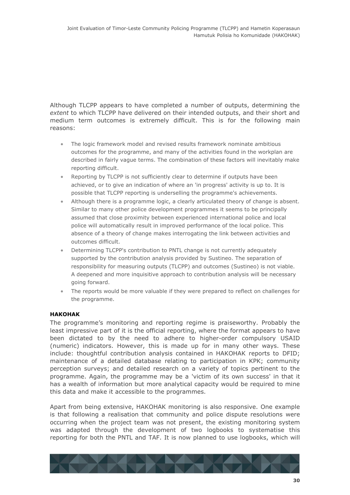Although TLCPP appears to have completed a number of outputs, determining the *extent* to which TLCPP have delivered on their intended outputs, and their short and medium term outcomes is extremely difficult. This is for the following main reasons:

- The logic framework model and revised results framework nominate ambitious outcomes for the programme, and many of the activities found in the workplan are described in fairly vague terms. The combination of these factors will inevitably make reporting difficult.
- Reporting by TLCPP is not sufficiently clear to determine if outputs have been achieved, or to give an indication of where an 'in progress' activity is up to. It is possible that TLCPP reporting is underselling the programme's achievements.
- Although there is a programme logic, a clearly articulated theory of change is absent. Similar to many other police development programmes it seems to be principally assumed that close proximity between experienced international police and local police will automatically result in improved performance of the local police. This absence of a theory of change makes interrogating the link between activities and outcomes difficult.
- Determining TLCPP's contribution to PNTL change is not currently adequately supported by the contribution analysis provided by Sustineo. The separation of responsibility for measuring outputs (TLCPP) and outcomes (Sustineo) is not viable. A deepened and more inquisitive approach to contribution analysis will be necessary going forward.
- The reports would be more valuable if they were prepared to reflect on challenges for the programme.

#### **HAKOHAK**

The programme's monitoring and reporting regime is praiseworthy. Probably the least impressive part of it is the official reporting, where the format appears to have been dictated to by the need to adhere to higher-order compulsory USAID (numeric) indicators. However, this is made up for in many other ways. These include: thoughtful contribution analysis contained in HAKOHAK reports to DFID; maintenance of a detailed database relating to participation in KPK; community perception surveys; and detailed research on a variety of topics pertinent to the programme. Again, the programme may be a 'victim of its own success' in that it has a wealth of information but more analytical capacity would be required to mine this data and make it accessible to the programmes.

Apart from being extensive, HAKOHAK monitoring is also responsive. One example is that following a realisation that community and police dispute resolutions were occurring when the project team was not present, the existing monitoring system was adapted through the development of two logbooks to systematise this reporting for both the PNTL and TAF. It is now planned to use logbooks, which will

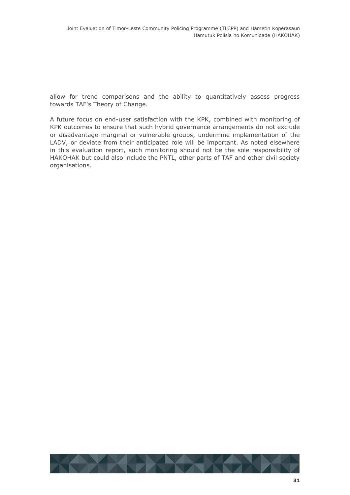allow for trend comparisons and the ability to quantitatively assess progress towards TAF's Theory of Change.

A future focus on end-user satisfaction with the KPK, combined with monitoring of KPK outcomes to ensure that such hybrid governance arrangements do not exclude or disadvantage marginal or vulnerable groups, undermine implementation of the LADV, or deviate from their anticipated role will be important. As noted elsewhere in this evaluation report, such monitoring should not be the sole responsibility of HAKOHAK but could also include the PNTL, other parts of TAF and other civil society organisations.

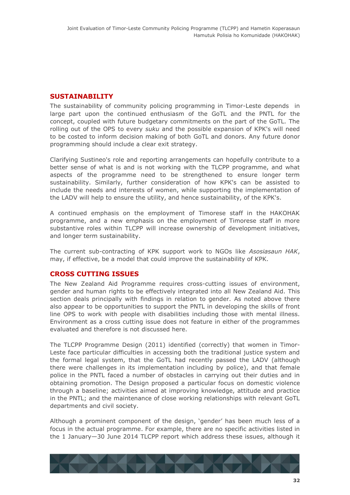#### **SUSTAINABILITY**

The sustainability of community policing programming in Timor-Leste depends in large part upon the continued enthusiasm of the GoTL and the PNTL for the concept, coupled with future budgetary commitments on the part of the GoTL. The rolling out of the OPS to every *suku* and the possible expansion of KPK's will need to be costed to inform decision making of both GoTL and donors. Any future donor programming should include a clear exit strategy.

Clarifying Sustineo's role and reporting arrangements can hopefully contribute to a better sense of what is and is not working with the TLCPP programme, and what aspects of the programme need to be strengthened to ensure longer term sustainability. Similarly, further consideration of how KPK's can be assisted to include the needs and interests of women, while supporting the implementation of the LADV will help to ensure the utility, and hence sustainability, of the KPK's.

A continued emphasis on the employment of Timorese staff in the HAKOHAK programme, and a new emphasis on the employment of Timorese staff in more substantive roles within TLCPP will increase ownership of development initiatives, and longer term sustainability.

The current sub-contracting of KPK support work to NGOs like *Asosiasaun HAK*, may, if effective, be a model that could improve the sustainability of KPK.

#### **CROSS CUTTING ISSUES**

The New Zealand Aid Programme requires cross-cutting issues of environment, gender and human rights to be effectively integrated into all New Zealand Aid. This section deals principally with findings in relation to gender. As noted above there also appear to be opportunities to support the PNTL in developing the skills of front line OPS to work with people with disabilities including those with mental illness. Environment as a cross cutting issue does not feature in either of the programmes evaluated and therefore is not discussed here.

The TLCPP Programme Design (2011) identified (correctly) that women in Timor-Leste face particular difficulties in accessing both the traditional justice system and the formal legal system, that the GoTL had recently passed the LADV (although there were challenges in its implementation including by police), and that female police in the PNTL faced a number of obstacles in carrying out their duties and in obtaining promotion. The Design proposed a particular focus on domestic violence through a baseline; activities aimed at improving knowledge, attitude and practice in the PNTL; and the maintenance of close working relationships with relevant GoTL departments and civil society.

Although a prominent component of the design, 'gender' has been much less of a focus in the actual programme. For example, there are no specific activities listed in the 1 January—30 June 2014 TLCPP report which address these issues, although it

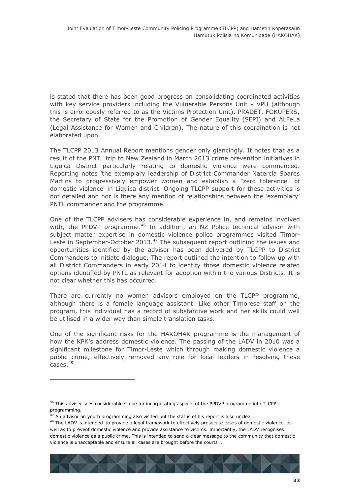is stated that there has been good progress on consolidating coordinated activities with key service providers including the Vulnerable Persons Unit - VPU (although this is erroneously referred to as the Victims Protection Unit), PRADET, FOKUPERS, the Secretary of State for the Promotion of Gender Equality (SEPI) and ALFeLa (Legal Assistance for Women and Children). The nature of this coordination is not elaborated upon.

The TLCPP 2013 Annual Report mentions gender only glancingly. It notes that as a result of the PNTL trip to New Zealand in March 2013 crime prevention initiatives in Liquica District particularly relating to domestic violence were commenced. Reporting notes 'the exemplary leadership of District Commander Natercia Soares Martins to progressively empower women and establish a "zero tolerance" of domestic violence' in Liquica district. Ongoing TLCPP support for these activities is not detailed and nor is there any mention of relationships between the 'exemplary' PNTL commander and the programme.

One of the TLCPP advisers has considerable experience in, and remains involved with, the PPDVP programme.<sup>46</sup> In addition, an NZ Police technical advisor with subject matter expertise in domestic violence police programmes visited Timor-Leste in September-October 2013.<sup>47</sup> The subsequent report outlining the issues and opportunities identified by the advisor has been delivered by TLCPP to District Commanders to initiate dialogue. The report outlined the intention to follow up with all District Commanders in early 2014 to identify those domestic violence related options identified by PNTL as relevant for adoption within the various Districts. It is not clear whether this has occurred.

There are currently no women advisors employed on the TLCPP programme, although there is a female language assistant. Like other Timorese staff on the program, this individual has a record of substantive work and her skills could well be utilised in a wider way than simple translation tasks.

One of the significant risks for the HAKOHAK programme is the management of how the KPK's address domestic violence. The passing of the LADV in 2010 was a significant milestone for Timor-Leste which through making domestic violence a public crime, effectively removed any role for local leaders in resolving these cases. 48

<sup>&</sup>lt;sup>48</sup> The LADV is intended 'to provide a legal framework to effectively prosecute cases of domestic violence, as well as to prevent domestic violence and provide assistance to victims. Importantly, the LADV recognises domestic violence as a public crime. This is intended to send a clear message to the community that domestic violence is unacceptable and ensure all cases are brought before the courts '.



<sup>46</sup> This adviser sees considerable scope for incorporating aspects of the PPDVP programme into TLCPP programming.

 $47$  An advisor on youth programming also visited but the status of his report is also unclear.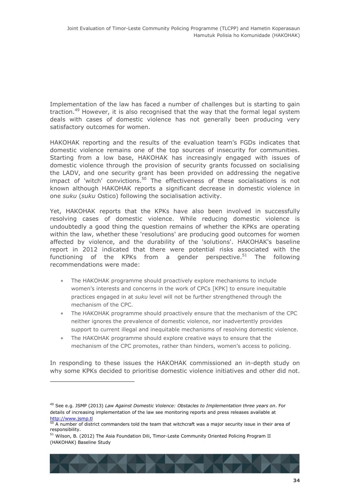Implementation of the law has faced a number of challenges but is starting to gain traction.<sup>49</sup> However, it is also recognised that the way that the formal legal system deals with cases of domestic violence has not generally been producing very satisfactory outcomes for women.

HAKOHAK reporting and the results of the evaluation team's FGDs indicates that domestic violence remains one of the top sources of insecurity for communities. Starting from a low base, HAKOHAK has increasingly engaged with issues of domestic violence through the provision of security grants focussed on socialising the LADV, and one security grant has been provided on addressing the negative impact of 'witch' convictions.<sup>50</sup> The effectiveness of these socialisations is not known although HAKOHAK reports a significant decrease in domestic violence in one *suku* (*suku* Ostico) following the socialisation activity.

Yet, HAKOHAK reports that the KPKs have also been involved in successfully resolving cases of domestic violence. While reducing domestic violence is undoubtedly a good thing the question remains of whether the KPKs are operating within the law, whether these 'resolutions' are producing good outcomes for women affected by violence, and the durability of the 'solutions'. HAKOHAK's baseline report in 2012 indicated that there were potential risks associated with the functioning of the KPKs from a gender perspective.<sup>51</sup> The following recommendations were made:

- The HAKOHAK programme should proactively explore mechanisms to include women's interests and concerns in the work of CPCs [KPK] to ensure inequitable practices engaged in at *suku* level will not be further strengthened through the mechanism of the CPC.
- The HAKOHAK programme should proactively ensure that the mechanism of the CPC neither ignores the prevalence of domestic violence, nor inadvertently provides support to current illegal and inequitable mechanisms of resolving domestic violence.
- The HAKOHAK programme should explore creative ways to ensure that the mechanism of the CPC promotes, rather than hinders, women's access to policing.

In responding to these issues the HAKOHAK commissioned an in-depth study on why some KPKs decided to prioritise domestic violence initiatives and other did not.



<sup>49</sup> See e.g. JSMP (2013) *Law Against Domestic Violence: Obstacles to Implementation three years on*. For details of increasing implementation of the law see monitoring reports and press releases available at

[http://www.jsmp.tl](http://www.jsmp.tl/) <sup>50</sup> A number of district commanders told the team that witchcraft was a major security issue in their area of responsibility.

<sup>&</sup>lt;sup>51</sup> Wilson, B. (2012) The Asia Foundation Dili, Timor-Leste Community Oriented Policing Program II (HAKOHAK) Baseline Study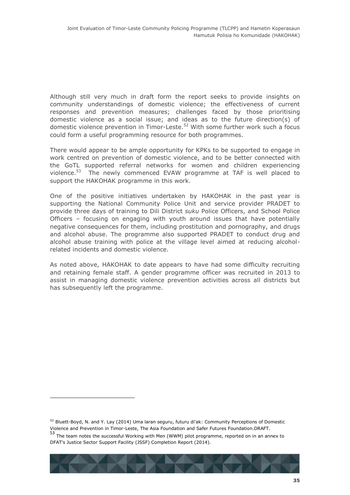Although still very much in draft form the report seeks to provide insights on community understandings of domestic violence; the effectiveness of current responses and prevention measures; challenges faced by those prioritising domestic violence as a social issue; and ideas as to the future direction(s) of domestic violence prevention in Timor-Leste.<sup>52</sup> With some further work such a focus could form a useful programming resource for both programmes.

There would appear to be ample opportunity for KPKs to be supported to engage in work centred on prevention of domestic violence, and to be better connected with the GoTL supported referral networks for women and children experiencing violence.<sup>53</sup> The newly commenced EVAW programme at TAF is well placed to support the HAKOHAK programme in this work.

One of the positive initiatives undertaken by HAKOHAK in the past year is supporting the National Community Police Unit and service provider PRADET to provide three days of training to Dili District *suku* Police Officers, and School Police Officers – focusing on engaging with youth around issues that have potentially negative consequences for them, including prostitution and pornography, and drugs and alcohol abuse. The programme also supported PRADET to conduct drug and alcohol abuse training with police at the village level aimed at reducing alcoholrelated incidents and domestic violence.

As noted above, HAKOHAK to date appears to have had some difficulty recruiting and retaining female staff. A gender programme officer was recruited in 2013 to assist in managing domestic violence prevention activities across all districts but has subsequently left the programme.

DFAT's Justice Sector Support Facility (JSSF) Completion Report (2014).



<sup>52</sup> Bluett-Boyd, N. and Y. Lay (2014) Uma laran seguru, futuru di'ak: Community Perceptions of Domestic Violence and Prevention in Timor-Leste, The Asia Foundation and Safer Futures Foundation.DRAFT. <sup>53</sup> The team notes the successful Working with Men (WWM) pilot programme, reported on in an annex to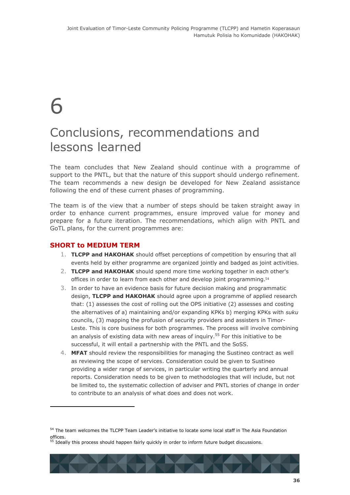# 6

-

### Conclusions, recommendations and lessons learned

The team concludes that New Zealand should continue with a programme of support to the PNTL, but that the nature of this support should undergo refinement. The team recommends a new design be developed for New Zealand assistance following the end of these current phases of programming.

The team is of the view that a number of steps should be taken straight away in order to enhance current programmes, ensure improved value for money and prepare for a future iteration. The recommendations, which align with PNTL and GoTL plans, for the current programmes are:

#### **SHORT to MEDIUM TERM**

- 1. **TLCPP and HAKOHAK** should offset perceptions of competition by ensuring that all events held by either programme are organized jointly and badged as joint activities.
- 2. **TLCPP and HAKOHAK** should spend more time working together in each other's offices in order to learn from each other and develop joint programming.<sup>54</sup>
- 3. In order to have an evidence basis for future decision making and programmatic design, **TLCPP and HAKOHAK** should agree upon a programme of applied research that: (1) assesses the cost of rolling out the OPS initiative (2) assesses and costing the alternatives of a) maintaining and/or expanding KPKs b) merging KPKs with *suku* councils, (3) mapping the profusion of security providers and assisters in Timor-Leste. This is core business for both programmes. The process will involve combining an analysis of existing data with new areas of inquiry.<sup>55</sup> For this initiative to be successful, it will entail a partnership with the PNTL and the SoSS.
- 4. **MFAT** should review the responsibilities for managing the Sustineo contract as well as reviewing the scope of services. Consideration could be given to Sustineo providing a wider range of services, in particular writing the quarterly and annual reports. Consideration needs to be given to methodologies that will include, but not be limited to, the systematic collection of adviser and PNTL stories of change in order to contribute to an analysis of what does and does not work.

 $^{5}$  Ideally this process should happen fairly quickly in order to inform future budget discussions.



<sup>&</sup>lt;sup>54</sup> The team welcomes the TLCPP Team Leader's initiative to locate some local staff in The Asia Foundation offices.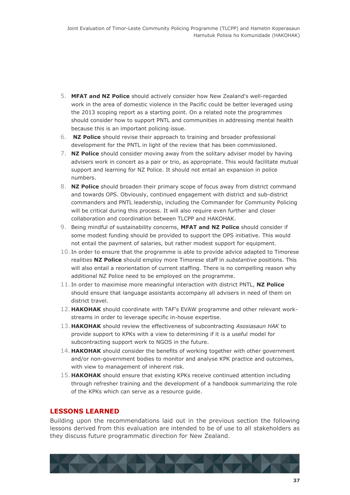- 5. **MFAT and NZ Police** should actively consider how New Zealand's well-regarded work in the area of domestic violence in the Pacific could be better leveraged using the 2013 scoping report as a starting point. On a related note the programmes should consider how to support PNTL and communities in addressing mental health because this is an important policing issue.
- 6. **NZ Police** should revise their approach to training and broader professional development for the PNTL in light of the review that has been commissioned.
- 7. **NZ Police** should consider moving away from the solitary adviser model by having advisers work in concert as a pair or trio, as appropriate. This would facilitate mutual support and learning for NZ Police. It should not entail an expansion in police numbers.
- 8. **NZ Police** should broaden their primary scope of focus away from district command and towards OPS. Obviously, continued engagement with district and sub-district commanders and PNTL leadership, including the Commander for Community Policing will be critical during this process. It will also require even further and closer collaboration and coordination between TLCPP and HAKOHAK.
- 9. Being mindful of sustainability concerns, **MFAT and NZ Police** should consider if some modest funding should be provided to support the OPS initiative. This would not entail the payment of salaries, but rather modest support for equipment.
- 10. In order to ensure that the programme is able to provide advice adapted to Timorese realities **NZ Police** should employ more Timorese staff in *substantive* positions. This will also entail a reorientation of current staffing. There is no compelling reason why additional NZ Police need to be employed on the programme.
- 11. In order to maximise more meaningful interaction with district PNTL, **NZ Police** should ensure that language assistants accompany all advisers in need of them on district travel.
- 12. **HAKOHAK** should coordinate with TAF's EVAW programme and other relevant workstreams in order to leverage specific in-house expertise.
- 13. **HAKOHAK** should review the effectiveness of subcontracting *Asosiasaun HAK* to provide support to KPKs with a view to determining if it is a useful model for subcontracting support work to NGOS in the future.
- 14. **HAKOHAK** should consider the benefits of working together with other government and/or non-government bodies to monitor and analyse KPK practice and outcomes, with view to management of inherent risk.
- 15. **HAKOHAK** should ensure that existing KPKs receive continued attention including through refresher training and the development of a handbook summarizing the role of the KPKs which can serve as a resource guide.

#### **LESSONS LEARNED**

Building upon the recommendations laid out in the previous section the following lessons derived from this evaluation are intended to be of use to all stakeholders as they discuss future programmatic direction for New Zealand.

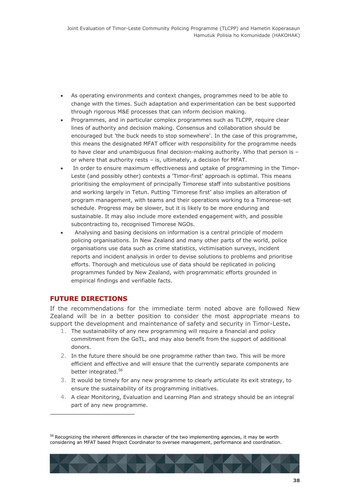- As operating environments and context changes, programmes need to be able to change with the times. Such adaptation and experimentation can be best supported through rigorous M&E processes that can inform decision making.
- Programmes, and in particular complex programmes such as TLCPP, require clear lines of authority and decision making. Consensus and collaboration should be encouraged but 'the buck needs to stop somewhere'. In the case of this programme, this means the designated MFAT officer with responsibility for the programme needs to have clear and unambiguous final decision-making authority. Who that person is – or where that authority rests – is, ultimately, a decision for MFAT.
- In order to ensure maximum effectiveness and uptake of programming in the Timor-Leste (and possibly other) contexts a 'Timor-first' approach is optimal. This means prioritising the employment of principally Timorese staff into substantive positions and working largely in Tetun. Putting 'Timorese first' also implies an alteration of program management, with teams and their operations working to a Timorese-set schedule. Progress may be slower, but it is likely to be more enduring and sustainable. It may also include more extended engagement with, and possible subcontracting to, recognised Timorese NGOs.
- Analysing and basing decisions on information is a central principle of modern policing organisations. In New Zealand and many other parts of the world, police organisations use data such as crime statistics, victimisation surveys, incident reports and incident analysis in order to devise solutions to problems and prioritise efforts. Thorough and meticulous use of data should be replicated in policing programmes funded by New Zealand, with programmatic efforts grounded in empirical findings and verifiable facts.

#### **FUTURE DIRECTIONS**

-

If the recommendations for the immediate term noted above are followed New Zealand will be in a better position to consider the most appropriate means to support the development and maintenance of safety and security in Timor-Leste**.**

- 1. The sustainability of any new programming will require a financial and policy commitment from the GoTL, and may also benefit from the support of additional donors.
- 2. In the future there should be one programme rather than two. This will be more efficient and effective and will ensure that the currently separate components are better integrated.<sup>56</sup>
- 3. It would be timely for any new programme to clearly articulate its exit strategy, to ensure the sustainability of its programming initiatives.
- 4. A clear Monitoring, Evaluation and Learning Plan and strategy should be an integral part of any new programme.

<sup>&</sup>lt;sup>56</sup> Recognizing the inherent differences in character of the two implementing agencies, it may be worth considering an MFAT based Project Coordinator to oversee management, performance and coordination.

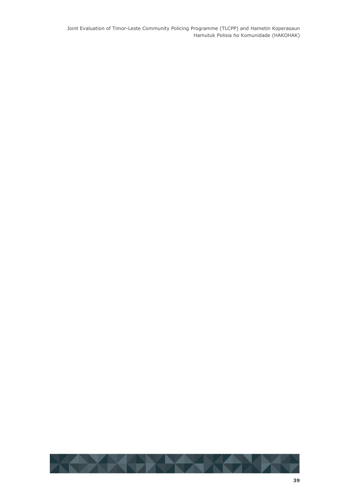Joint Evaluation of Timor-Leste Community Policing Programme (TLCPP) and Hametin Koperasaun Hamutuk Polisia ho Komunidade (HAKOHAK)

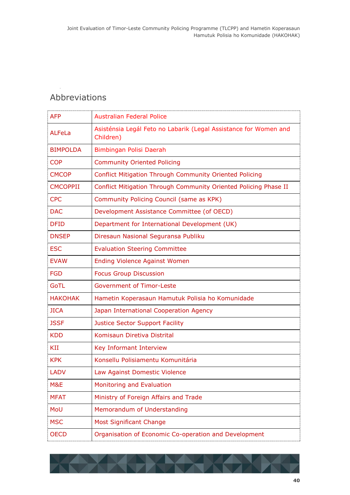#### Abbreviations

| <b>AFP</b>      | <b>Australian Federal Police</b>                                              |
|-----------------|-------------------------------------------------------------------------------|
| <b>ALFeLa</b>   | Asisténsia Legál Feto no Labarik (Legal Assistance for Women and<br>Children) |
| <b>BIMPOLDA</b> | Bimbingan Polisi Daerah                                                       |
| <b>COP</b>      | <b>Community Oriented Policing</b>                                            |
| <b>CMCOP</b>    | <b>Conflict Mitigation Through Community Oriented Policing</b>                |
| <b>CMCOPPII</b> | Conflict Mitigation Through Community Oriented Policing Phase II              |
| <b>CPC</b>      | Community Policing Council (same as KPK)                                      |
| <b>DAC</b>      | Development Assistance Committee (of OECD)                                    |
| <b>DFID</b>     | Department for International Development (UK)                                 |
| <b>DNSEP</b>    | Diresaun Nasional Seguransa Publiku                                           |
| <b>ESC</b>      | <b>Evaluation Steering Committee</b>                                          |
| <b>EVAW</b>     | <b>Ending Violence Against Women</b>                                          |
| <b>FGD</b>      | <b>Focus Group Discussion</b>                                                 |
| <b>GoTL</b>     | <b>Government of Timor-Leste</b>                                              |
| <b>HAKOHAK</b>  | Hametin Koperasaun Hamutuk Polisia ho Komunidade                              |
| <b>JICA</b>     | Japan International Cooperation Agency                                        |
| <b>JSSF</b>     | <b>Justice Sector Support Facility</b>                                        |
| <b>KDD</b>      | Komisaun Diretiva Distrital                                                   |
| <b>KII</b>      | Key Informant Interview                                                       |
| <b>KPK</b>      | Konsellu Polisiamentu Komunitária                                             |
| LADV            | Law Against Domestic Violence                                                 |
| M&E             | Monitoring and Evaluation                                                     |
| <b>MFAT</b>     | Ministry of Foreign Affairs and Trade                                         |
| MoU             | Memorandum of Understanding                                                   |
| <b>MSC</b>      | <b>Most Significant Change</b>                                                |
| <b>OECD</b>     | Organisation of Economic Co-operation and Development                         |